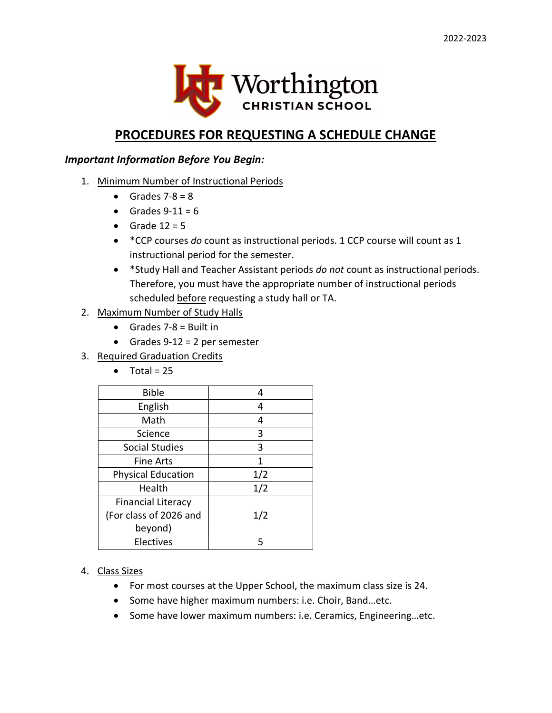

## PROCEDURES FOR REQUESTING A SCHEDULE CHANGE

#### Important Information Before You Begin:

- 1. Minimum Number of Instructional Periods
	- Grades  $7-8 = 8$
	- Grades  $9-11 = 6$
	- Grade  $12 = 5$
	- \* CCP courses do count as instructional periods. 1 CCP course will count as 1 instructional period for the semester.
	- \* \*Study Hall and Teacher Assistant periods do not count as instructional periods. Therefore, you must have the appropriate number of instructional periods scheduled before requesting a study hall or TA.

#### 2. Maximum Number of Study Halls

- Grades  $7-8$  = Built in
- Grades  $9-12 = 2$  per semester
- 3. Required Graduation Credits
	- $\bullet$  Total = 25

| <b>Bible</b>              | 4   |
|---------------------------|-----|
| English                   | 4   |
| Math                      | 4   |
| Science                   | 3   |
| <b>Social Studies</b>     | 3   |
| <b>Fine Arts</b>          | 1   |
| <b>Physical Education</b> | 1/2 |
| Health                    | 1/2 |
| <b>Financial Literacy</b> |     |
| (For class of 2026 and    | 1/2 |
| beyond)                   |     |
| <b>Electives</b>          | 5   |

- 4. Class Sizes
	- For most courses at the Upper School, the maximum class size is 24.
	- Some have higher maximum numbers: i.e. Choir, Band...etc.
	- Some have lower maximum numbers: i.e. Ceramics, Engineering...etc.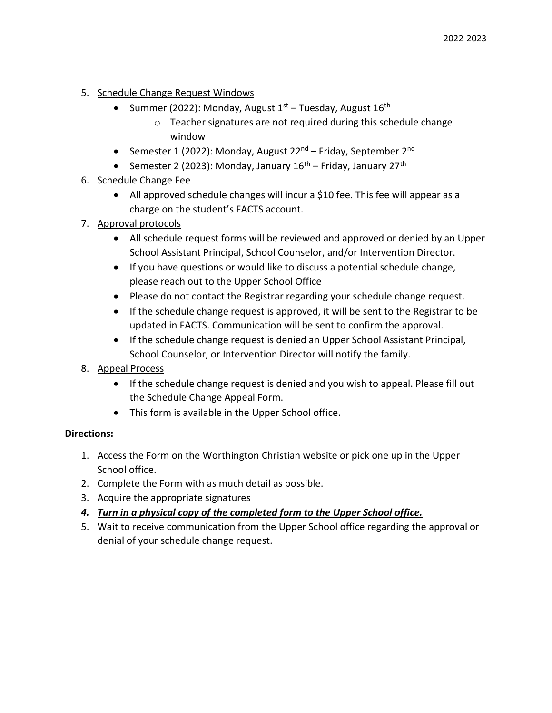- 5. Schedule Change Request Windows
	- Summer (2022): Monday, August  $1<sup>st</sup>$  Tuesday, August  $16<sup>th</sup>$ 
		- o Teacher signatures are not required during this schedule change window
	- Semester 1 (2022): Monday, August 22<sup>nd</sup> Friday, September 2<sup>nd</sup>
	- Semester 2 (2023): Monday, January  $16<sup>th</sup>$  Friday, January 27<sup>th</sup>
- 6. Schedule Change Fee
	- All approved schedule changes will incur a \$10 fee. This fee will appear as a charge on the student's FACTS account.
- 7. Approval protocols
	- All schedule request forms will be reviewed and approved or denied by an Upper School Assistant Principal, School Counselor, and/or Intervention Director.
	- If you have questions or would like to discuss a potential schedule change, please reach out to the Upper School Office
	- Please do not contact the Registrar regarding your schedule change request.
	- If the schedule change request is approved, it will be sent to the Registrar to be updated in FACTS. Communication will be sent to confirm the approval.
	- If the schedule change request is denied an Upper School Assistant Principal, School Counselor, or Intervention Director will notify the family.
- 8. Appeal Process
	- If the schedule change request is denied and you wish to appeal. Please fill out the Schedule Change Appeal Form.
	- This form is available in the Upper School office.

#### Directions:

- 1. Access the Form on the Worthington Christian website or pick one up in the Upper School office.
- 2. Complete the Form with as much detail as possible.
- 3. Acquire the appropriate signatures
- 4. Turn in a physical copy of the completed form to the Upper School office.
- 5. Wait to receive communication from the Upper School office regarding the approval or denial of your schedule change request.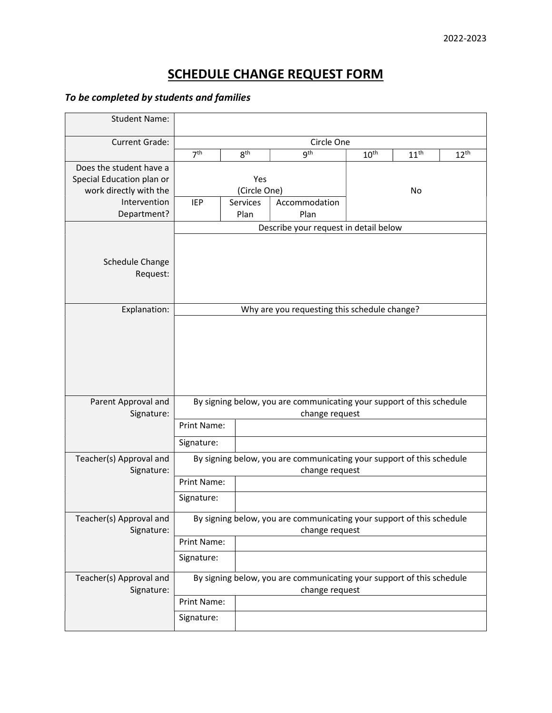# SCHEDULE CHANGE REQUEST FORM

### To be completed by students and families

| <b>Student Name:</b>      |                                                                       |                 |                                              |                  |                  |                  |
|---------------------------|-----------------------------------------------------------------------|-----------------|----------------------------------------------|------------------|------------------|------------------|
| <b>Current Grade:</b>     | Circle One                                                            |                 |                                              |                  |                  |                  |
|                           | 7 <sup>th</sup>                                                       | 8 <sup>th</sup> | <b>gth</b>                                   | 10 <sup>th</sup> | 11 <sup>th</sup> | 12 <sup>th</sup> |
| Does the student have a   |                                                                       |                 |                                              |                  |                  |                  |
| Special Education plan or | Yes                                                                   |                 |                                              |                  |                  |                  |
| work directly with the    | (Circle One)                                                          |                 |                                              | No               |                  |                  |
| Intervention              | <b>IEP</b>                                                            | Services        | Accommodation                                |                  |                  |                  |
| Department?               |                                                                       | Plan            | Plan                                         |                  |                  |                  |
|                           | Describe your request in detail below                                 |                 |                                              |                  |                  |                  |
|                           |                                                                       |                 |                                              |                  |                  |                  |
| Schedule Change           |                                                                       |                 |                                              |                  |                  |                  |
| Request:                  |                                                                       |                 |                                              |                  |                  |                  |
|                           |                                                                       |                 |                                              |                  |                  |                  |
|                           |                                                                       |                 |                                              |                  |                  |                  |
| Explanation:              |                                                                       |                 | Why are you requesting this schedule change? |                  |                  |                  |
|                           |                                                                       |                 |                                              |                  |                  |                  |
|                           |                                                                       |                 |                                              |                  |                  |                  |
|                           |                                                                       |                 |                                              |                  |                  |                  |
|                           |                                                                       |                 |                                              |                  |                  |                  |
|                           |                                                                       |                 |                                              |                  |                  |                  |
|                           |                                                                       |                 |                                              |                  |                  |                  |
| Parent Approval and       | By signing below, you are communicating your support of this schedule |                 |                                              |                  |                  |                  |
| Signature:                | change request                                                        |                 |                                              |                  |                  |                  |
|                           | Print Name:                                                           |                 |                                              |                  |                  |                  |
|                           | Signature:                                                            |                 |                                              |                  |                  |                  |
| Teacher(s) Approval and   | By signing below, you are communicating your support of this schedule |                 |                                              |                  |                  |                  |
| Signature:                | change request                                                        |                 |                                              |                  |                  |                  |
|                           | <b>Print Name:</b>                                                    |                 |                                              |                  |                  |                  |
|                           | Signature:                                                            |                 |                                              |                  |                  |                  |
| Teacher(s) Approval and   | By signing below, you are communicating your support of this schedule |                 |                                              |                  |                  |                  |
| Signature:                | change request                                                        |                 |                                              |                  |                  |                  |
|                           | Print Name:                                                           |                 |                                              |                  |                  |                  |
|                           | Signature:                                                            |                 |                                              |                  |                  |                  |
| Teacher(s) Approval and   | By signing below, you are communicating your support of this schedule |                 |                                              |                  |                  |                  |
| Signature:                | change request                                                        |                 |                                              |                  |                  |                  |
|                           | Print Name:                                                           |                 |                                              |                  |                  |                  |
|                           | Signature:                                                            |                 |                                              |                  |                  |                  |
|                           |                                                                       |                 |                                              |                  |                  |                  |